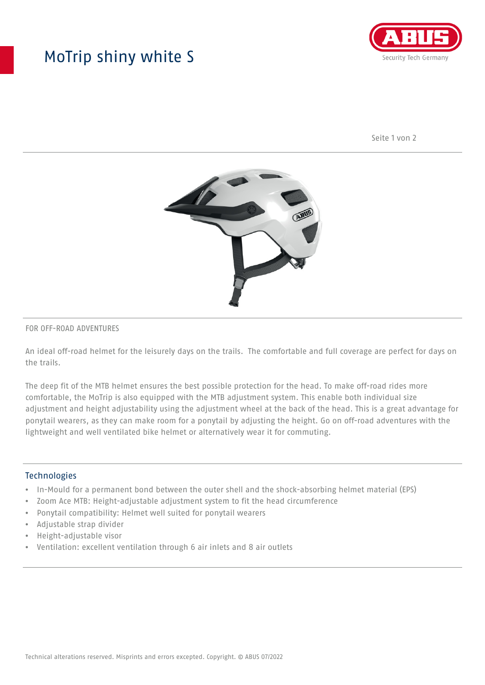## MoTrip shiny white S



Seite 1 von 2



#### FOR OFF-ROAD ADVENTURES

An ideal off-road helmet for the leisurely days on the trails. The comfortable and full coverage are perfect for days on the trails.

The deep fit of the MTB helmet ensures the best possible protection for the head. To make off-road rides more comfortable, the MoTrip is also equipped with the MTB adjustment system. This enable both individual size adjustment and height adjustability using the adjustment wheel at the back of the head. This is a great advantage for ponytail wearers, as they can make room for a ponytail by adjusting the height. Go on off-road adventures with the lightweight and well ventilated bike helmet or alternatively wear it for commuting.

#### Technologies

- In-Mould for a permanent bond between the outer shell and the shock-absorbing helmet material (EPS)
- Zoom Ace MTB: Height-adjustable adjustment system to fit the head circumference
- Ponytail compatibility: Helmet well suited for ponytail wearers
- Adjustable strap divider
- Height-adjustable visor
- Ventilation: excellent ventilation through 6 air inlets and 8 air outlets